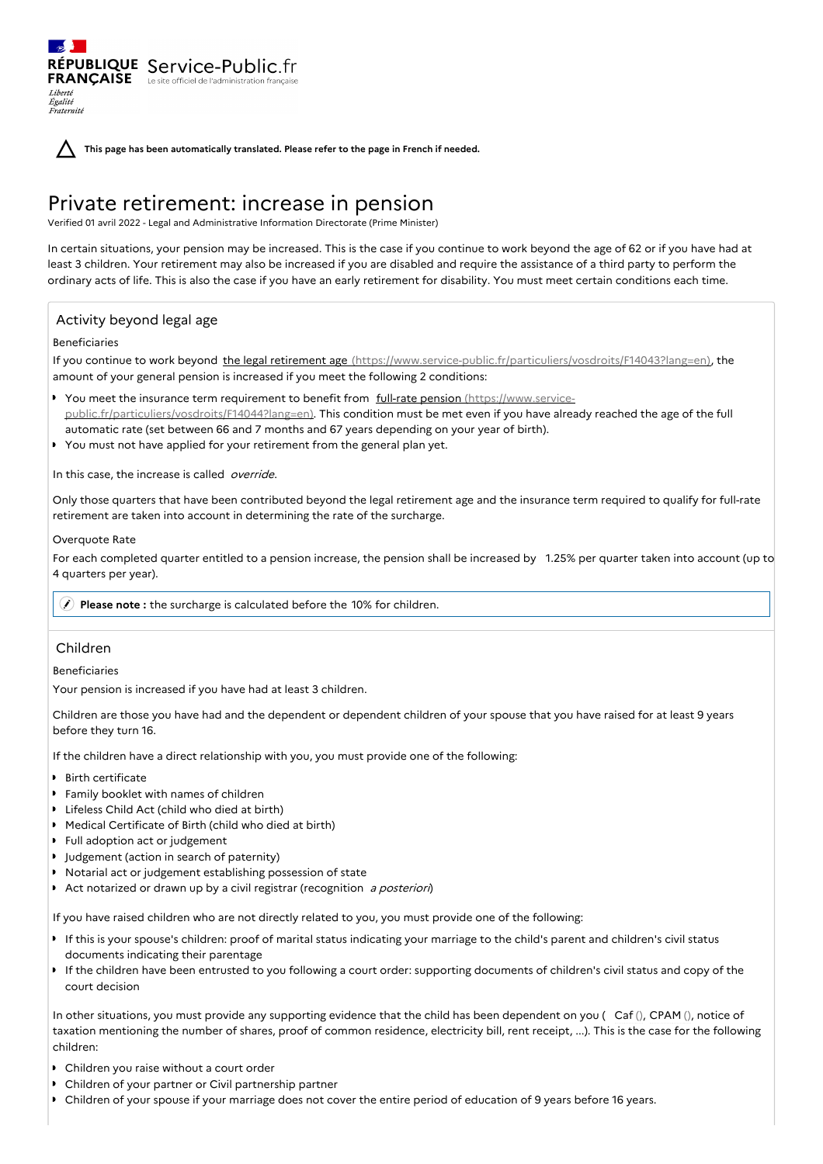**This page has been automatically translated. Please refer to the page in French if needed.**

# Private retirement: increase in pension

Verified 01 avril 2022 - Legal and Administrative Information Directorate (Prime Minister)

In certain situations, your pension may be increased. This is the case if you continue to work beyond the age of 62 or if you have had at least 3 children. Your retirement may also be increased if you are disabled and require the assistance of a third party to perform the ordinary acts of life. This is also the case if you have an early retirement for disability. You must meet certain conditions each time.

# Activity beyond legal age

RÉPUBLIQUE Service-Public.fr **FRANÇAISE** Le site officiel de l'administration fran

# Beneficiaries

Liberté Égalité Fraternité

If you continue to work beyond the legal retirement age [\(https://www.service-public.fr/particuliers/vosdroits/F14043?lang=en\)](https://www.service-public.fr/particuliers/vosdroits/F14043?lang=en), the amount of your general pension is increased if you meet the following 2 conditions:

- You meet the insurance term requirement to benefit from full-rate pension (https://www.service[public.fr/particuliers/vosdroits/F14044?lang=en\).](https://www.service-public.fr/particuliers/vosdroits/F14044?lang=en) This condition must be met even if you have already reached the age of the full automatic rate (set between 66 and 7 months and 67 years depending on your year of birth).
- You must not have applied for your retirement from the general plan yet.

In this case, the increase is called *override*.

Only those quarters that have been contributed beyond the legal retirement age and the insurance term required to qualify for full-rate retirement are taken into account in determining the rate of the surcharge.

## Overquote Rate

For each completed quarter entitled to a pension increase, the pension shall be increased by 1.25% per quarter taken into account (up to 4 quarters per year).

**Please note :** the surcharge is calculated before the 10% for children.

# Children

Beneficiaries

Your pension is increased if you have had at least 3 children.

Children are those you have had and the dependent or dependent children of your spouse that you have raised for at least 9 years before they turn 16.

If the children have a direct relationship with you, you must provide one of the following:

- **B** Rirth certificate
- Family booklet with names of children
- Lifeless Child Act (child who died at birth)
- Medical Certificate of Birth (child who died at birth)
- Full adoption act or judgement
- **I** Judgement (action in search of paternity)
- Notarial act or judgement establishing possession of state
- $\bullet$ Act notarized or drawn up by a civil registrar (recognition a posteriori)

If you have raised children who are not directly related to you, you must provide one of the following:

- If this is your spouse's children: proof of marital status indicating your marriage to the child's parent and children's civil status documents indicating their parentage
- If the children have been entrusted to you following a court order: supporting documents of children's civil status and copy of the court decision

In other situations, you must provide any supporting evidence that the child has been dependent on you ( Caf (), CPAM (), notice of taxation mentioning the number of shares, proof of common residence, electricity bill, rent receipt, ...). This is the case for the following children:

- Children you raise without a court order
- Children of your partner or Civil partnership partner
- Children of your spouse if your marriage does not cover the entire period of education of 9 years before 16 years.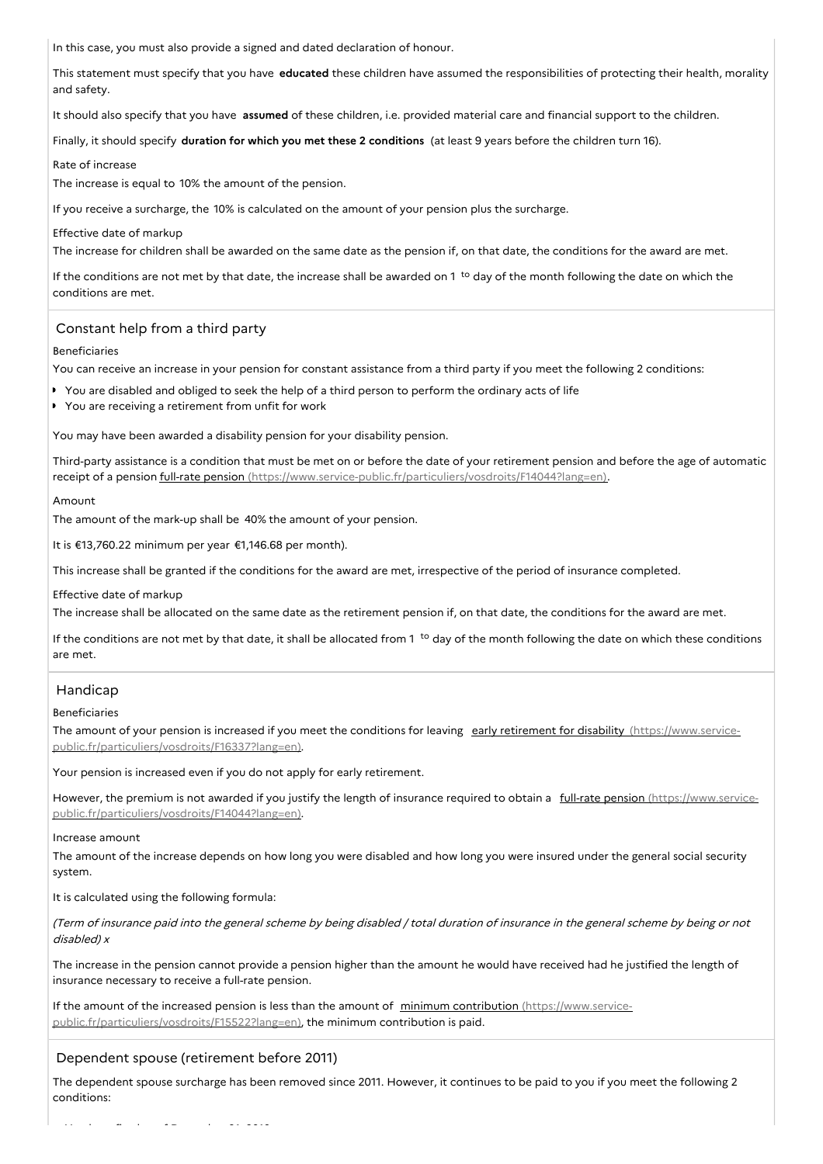In this case, you must also provide a signed and dated declaration of honour.

This statement must specify that you have **educated** these children have assumed the responsibilities of protecting their health, morality and safety.

It should also specify that you have **assumed** of these children, i.e. provided material care and financial support to the children.

Finally, it should specify **duration for which you met these 2 conditions** (at least 9 years before the children turn 16).

#### Rate of increase

The increase is equal to 10% the amount of the pension.

If you receive a surcharge, the 10% is calculated on the amount of your pension plus the surcharge.

#### Effective date of markup

The increase for children shall be awarded on the same date as the pension if, on that date, the conditions for the award are met.

If the conditions are not met by that date, the increase shall be awarded on 1<sup>to</sup> day of the month following the date on which the conditions are met.

## Constant help from a third party

#### Beneficiaries

You can receive an increase in your pension for constant assistance from a third party if you meet the following 2 conditions:

- You are disabled and obliged to seek the help of a third person to perform the ordinary acts of life
- ▶ You are receiving a retirement from unfit for work

You may have been awarded a disability pension for your disability pension.

Third-party assistance is a condition that must be met on or before the date of your retirement pension and before the age of automatic receipt of a pension full-rate pension [\(https://www.service-public.fr/particuliers/vosdroits/F14044?lang=en\)](https://www.service-public.fr/particuliers/vosdroits/F14044?lang=en).

#### Amount

The amount of the mark-up shall be 40% the amount of your pension.

It is €13,760.22 minimum per year €1,146.68 per month).

This increase shall be granted if the conditions for the award are met, irrespective of the period of insurance completed.

#### Effective date of markup

The increase shall be allocated on the same date as the retirement pension if, on that date, the conditions for the award are met.

If the conditions are not met by that date, it shall be allocated from 1<sup>to</sup> day of the month following the date on which these conditions are met.

## Handicap

#### Beneficiaries

The amount of your pension is increased if you meet the conditions for leaving early retirement for disability (https://www.service[public.fr/particuliers/vosdroits/F16337?lang=en\).](https://www.service-public.fr/particuliers/vosdroits/F16337?lang=en)

Your pension is increased even if you do not apply for early retirement.

However, the premium is not awarded if you justify the length of insurance required to obtain a full-rate pension (https://www.service[public.fr/particuliers/vosdroits/F14044?lang=en\).](https://www.service-public.fr/particuliers/vosdroits/F14044?lang=en)

#### Increase amount

The amount of the increase depends on how long you were disabled and how long you were insured under the general social security system.

It is calculated using the following formula:

(Term of insurance paid into the general scheme by being disabled / total duration of insurance in the general scheme by being or not disabled) <sup>x</sup>

The increase in the pension cannot provide a pension higher than the amount he would have received had he justified the length of insurance necessary to receive a full-rate pension.

If the amount of the increased pension is less than the amount of minimum contribution (https://www.service[public.fr/particuliers/vosdroits/F15522?lang=en\),](https://www.service-public.fr/particuliers/vosdroits/F15522?lang=en) the minimum contribution is paid.

## Dependent spouse (retirement before 2011)

The dependent spouse surcharge has been removed since 2011. However, it continues to be paid to you if you meet the following 2 conditions: